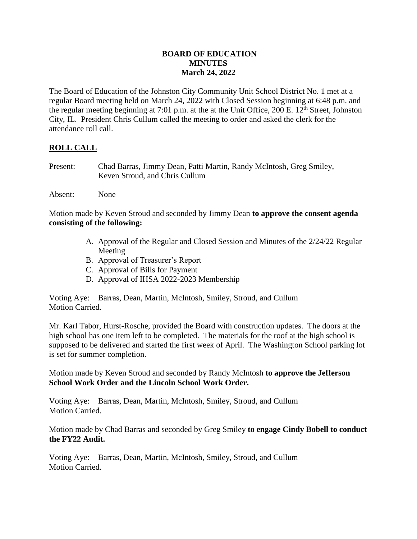# **BOARD OF EDUCATION MINUTES March 24, 2022**

The Board of Education of the Johnston City Community Unit School District No. 1 met at a regular Board meeting held on March 24, 2022 with Closed Session beginning at 6:48 p.m. and the regular meeting beginning at 7:01 p.m. at the at the Unit Office,  $200 \text{ E}$ .  $12^{\text{th}}$  Street, Johnston City, IL. President Chris Cullum called the meeting to order and asked the clerk for the attendance roll call.

# **ROLL CALL**

- Present: Chad Barras, Jimmy Dean, Patti Martin, Randy McIntosh, Greg Smiley, Keven Stroud, and Chris Cullum
- Absent: None

Motion made by Keven Stroud and seconded by Jimmy Dean **to approve the consent agenda consisting of the following:**

- A. Approval of the Regular and Closed Session and Minutes of the 2/24/22 Regular Meeting
- B. Approval of Treasurer's Report
- C. Approval of Bills for Payment
- D. Approval of IHSA 2022-2023 Membership

Voting Aye: Barras, Dean, Martin, McIntosh, Smiley, Stroud, and Cullum Motion Carried.

Mr. Karl Tabor, Hurst-Rosche, provided the Board with construction updates. The doors at the high school has one item left to be completed. The materials for the roof at the high school is supposed to be delivered and started the first week of April. The Washington School parking lot is set for summer completion.

Motion made by Keven Stroud and seconded by Randy McIntosh **to approve the Jefferson School Work Order and the Lincoln School Work Order.**

Voting Aye: Barras, Dean, Martin, McIntosh, Smiley, Stroud, and Cullum Motion Carried.

Motion made by Chad Barras and seconded by Greg Smiley **to engage Cindy Bobell to conduct the FY22 Audit.**

Voting Aye: Barras, Dean, Martin, McIntosh, Smiley, Stroud, and Cullum Motion Carried.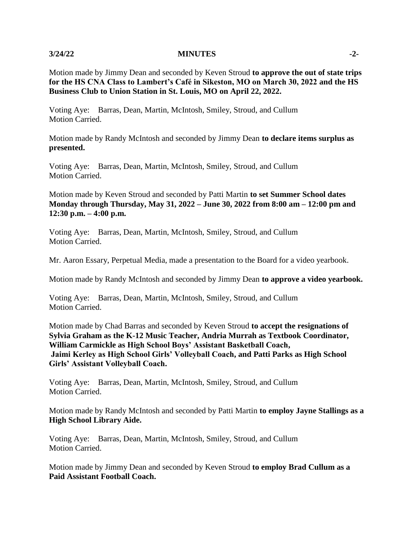### **3/24/22 MINUTES -2-**

Motion made by Jimmy Dean and seconded by Keven Stroud **to approve the out of state trips for the HS CNA Class to Lambert's Café in Sikeston, MO on March 30, 2022 and the HS Business Club to Union Station in St. Louis, MO on April 22, 2022.**

Voting Aye: Barras, Dean, Martin, McIntosh, Smiley, Stroud, and Cullum Motion Carried.

Motion made by Randy McIntosh and seconded by Jimmy Dean **to declare items surplus as presented.**

Voting Aye: Barras, Dean, Martin, McIntosh, Smiley, Stroud, and Cullum Motion Carried.

Motion made by Keven Stroud and seconded by Patti Martin **to set Summer School dates Monday through Thursday, May 31, 2022 – June 30, 2022 from 8:00 am – 12:00 pm and 12:30 p.m. – 4:00 p.m.**

Voting Aye: Barras, Dean, Martin, McIntosh, Smiley, Stroud, and Cullum Motion Carried.

Mr. Aaron Essary, Perpetual Media, made a presentation to the Board for a video yearbook.

Motion made by Randy McIntosh and seconded by Jimmy Dean **to approve a video yearbook.**

Voting Aye: Barras, Dean, Martin, McIntosh, Smiley, Stroud, and Cullum Motion Carried.

Motion made by Chad Barras and seconded by Keven Stroud **to accept the resignations of Sylvia Graham as the K-12 Music Teacher, Andria Murrah as Textbook Coordinator, William Carmickle as High School Boys' Assistant Basketball Coach, Jaimi Kerley as High School Girls' Volleyball Coach, and Patti Parks as High School Girls' Assistant Volleyball Coach.**

Voting Aye: Barras, Dean, Martin, McIntosh, Smiley, Stroud, and Cullum Motion Carried.

Motion made by Randy McIntosh and seconded by Patti Martin **to employ Jayne Stallings as a High School Library Aide.**

Voting Aye: Barras, Dean, Martin, McIntosh, Smiley, Stroud, and Cullum Motion Carried.

Motion made by Jimmy Dean and seconded by Keven Stroud **to employ Brad Cullum as a Paid Assistant Football Coach.**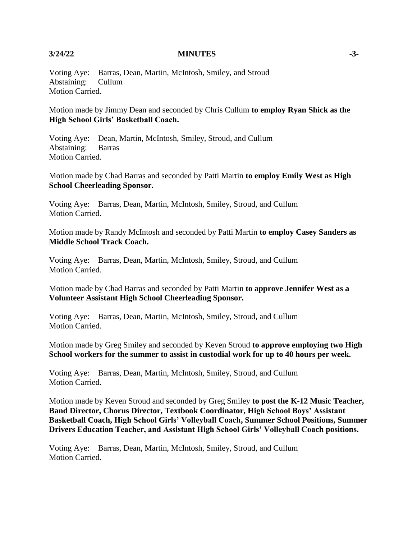### **3/24/22 MINUTES -3-**

Voting Aye: Barras, Dean, Martin, McIntosh, Smiley, and Stroud Abstaining: Cullum Motion Carried.

Motion made by Jimmy Dean and seconded by Chris Cullum **to employ Ryan Shick as the High School Girls' Basketball Coach.**

Voting Aye: Dean, Martin, McIntosh, Smiley, Stroud, and Cullum Abstaining: Barras Motion Carried.

Motion made by Chad Barras and seconded by Patti Martin **to employ Emily West as High School Cheerleading Sponsor.**

Voting Aye: Barras, Dean, Martin, McIntosh, Smiley, Stroud, and Cullum Motion Carried.

Motion made by Randy McIntosh and seconded by Patti Martin **to employ Casey Sanders as Middle School Track Coach.**

Voting Aye: Barras, Dean, Martin, McIntosh, Smiley, Stroud, and Cullum Motion Carried.

Motion made by Chad Barras and seconded by Patti Martin **to approve Jennifer West as a Volunteer Assistant High School Cheerleading Sponsor.**

Voting Aye: Barras, Dean, Martin, McIntosh, Smiley, Stroud, and Cullum Motion Carried.

Motion made by Greg Smiley and seconded by Keven Stroud **to approve employing two High School workers for the summer to assist in custodial work for up to 40 hours per week.**

Voting Aye: Barras, Dean, Martin, McIntosh, Smiley, Stroud, and Cullum Motion Carried.

Motion made by Keven Stroud and seconded by Greg Smiley **to post the K-12 Music Teacher, Band Director, Chorus Director, Textbook Coordinator, High School Boys' Assistant Basketball Coach, High School Girls' Volleyball Coach, Summer School Positions, Summer Drivers Education Teacher, and Assistant High School Girls' Volleyball Coach positions.**

Voting Aye: Barras, Dean, Martin, McIntosh, Smiley, Stroud, and Cullum Motion Carried.